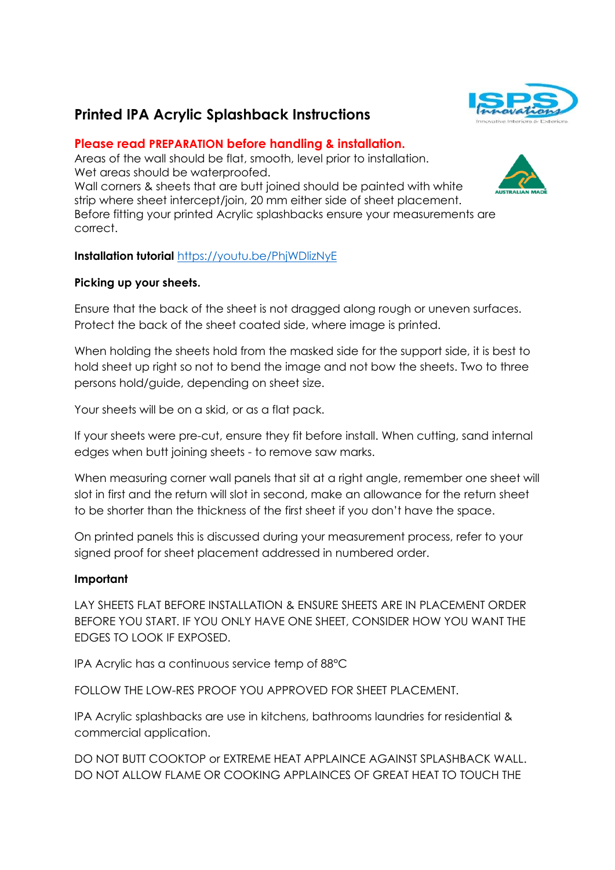# **Printed IPA Acrylic Splashback Instructions**

# **Please read PREPARATION before handling & installation.**

Areas of the wall should be flat, smooth, level prior to installation. Wet areas should be waterproofed. Wall corners & sheets that are butt joined should be painted with white strip where sheet intercept/join, 20 mm either side of sheet placement. Before fitting your printed Acrylic splashbacks ensure your measurements are correct.



## **Picking up your sheets.**

Ensure that the back of the sheet is not dragged along rough or uneven surfaces. Protect the back of the sheet coated side, where image is printed.

When holding the sheets hold from the masked side for the support side, it is best to hold sheet up right so not to bend the image and not bow the sheets. Two to three persons hold/guide, depending on sheet size.

Your sheets will be on a skid, or as a flat pack.

If your sheets were pre-cut, ensure they fit before install. When cutting, sand internal edges when butt joining sheets - to remove saw marks.

When measuring corner wall panels that sit at a right angle, remember one sheet will slot in first and the return will slot in second, make an allowance for the return sheet to be shorter than the thickness of the first sheet if you don't have the space.

On printed panels this is discussed during your measurement process, refer to your signed proof for sheet placement addressed in numbered order.

# **Important**

LAY SHEETS FLAT BEFORE INSTALLATION & ENSURE SHEETS ARE IN PLACEMENT ORDER BEFORE YOU START. IF YOU ONLY HAVE ONE SHEET, CONSIDER HOW YOU WANT THE EDGES TO LOOK IF EXPOSED.

IPA Acrylic has a continuous service temp of 88°C

FOLLOW THE LOW-RES PROOF YOU APPROVED FOR SHEET PLACEMENT.

IPA Acrylic splashbacks are use in kitchens, bathrooms laundries for residential & commercial application.

DO NOT BUTT COOKTOP or EXTREME HEAT APPLAINCE AGAINST SPLASHBACK WALL. DO NOT ALLOW FLAME OR COOKING APPLAINCES OF GREAT HEAT TO TOUCH THE



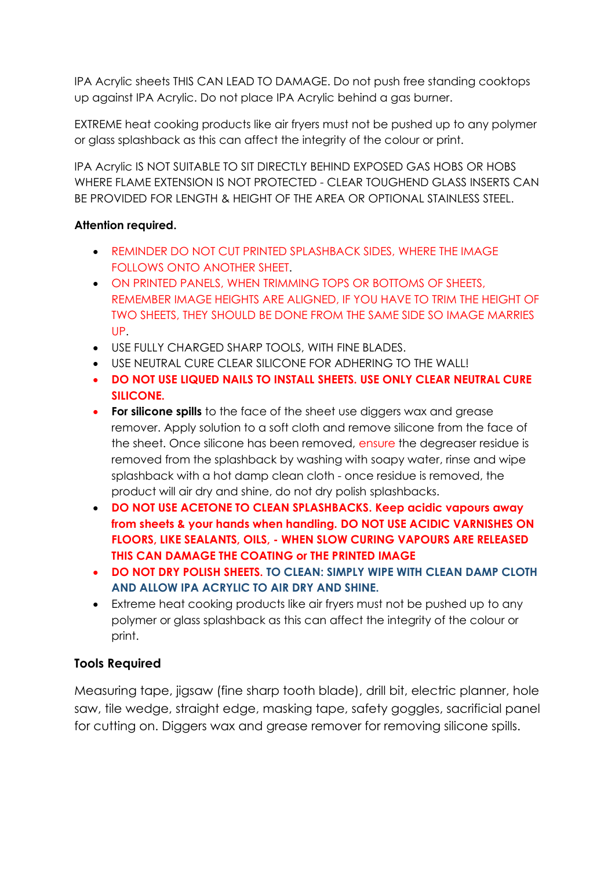IPA Acrylic sheets THIS CAN LEAD TO DAMAGE. Do not push free standing cooktops up against IPA Acrylic. Do not place IPA Acrylic behind a gas burner.

EXTREME heat cooking products like air fryers must not be pushed up to any polymer or glass splashback as this can affect the integrity of the colour or print.

IPA Acrylic IS NOT SUITABLE TO SIT DIRECTLY BEHIND EXPOSED GAS HOBS OR HOBS WHERE FLAME EXTENSION IS NOT PROTECTED - CLEAR TOUGHEND GLASS INSERTS CAN BE PROVIDED FOR LENGTH & HEIGHT OF THE AREA OR OPTIONAL STAINLESS STEEL.

# **Attention required.**

- REMINDER DO NOT CUT PRINTED SPLASHBACK SIDES, WHERE THE IMAGE FOLLOWS ONTO ANOTHER SHEET.
- ON PRINTED PANELS, WHEN TRIMMING TOPS OR BOTTOMS OF SHEETS, REMEMBER IMAGE HEIGHTS ARE ALIGNED, IF YOU HAVE TO TRIM THE HEIGHT OF TWO SHEETS, THEY SHOULD BE DONE FROM THE SAME SIDE SO IMAGE MARRIES UP.
- USE FULLY CHARGED SHARP TOOLS, WITH FINE BLADES.
- USE NEUTRAL CURE CLEAR SILICONE FOR ADHERING TO THE WALL!
- **DO NOT USE LIQUED NAILS TO INSTALL SHEETS. USE ONLY CLEAR NEUTRAL CURE SILICONE.**
- **For silicone spills** to the face of the sheet use diggers wax and grease remover. Apply solution to a soft cloth and remove silicone from the face of the sheet. Once silicone has been removed, ensure the degreaser residue is removed from the splashback by washing with soapy water, rinse and wipe splashback with a hot damp clean cloth - once residue is removed, the product will air dry and shine, do not dry polish splashbacks.
- **DO NOT USE ACETONE TO CLEAN SPLASHBACKS. Keep acidic vapours away from sheets & your hands when handling. DO NOT USE ACIDIC VARNISHES ON FLOORS, LIKE SEALANTS, OILS, - WHEN SLOW CURING VAPOURS ARE RELEASED THIS CAN DAMAGE THE COATING or THE PRINTED IMAGE**
- **DO NOT DRY POLISH SHEETS. TO CLEAN: SIMPLY WIPE WITH CLEAN DAMP CLOTH AND ALLOW IPA ACRYLIC TO AIR DRY AND SHINE.**
- Extreme heat cooking products like air fryers must not be pushed up to any polymer or glass splashback as this can affect the integrity of the colour or print.

# **Tools Required**

Measuring tape, jigsaw (fine sharp tooth blade), drill bit, electric planner, hole saw, tile wedge, straight edge, masking tape, safety goggles, sacrificial panel for cutting on. Diggers wax and grease remover for removing silicone spills.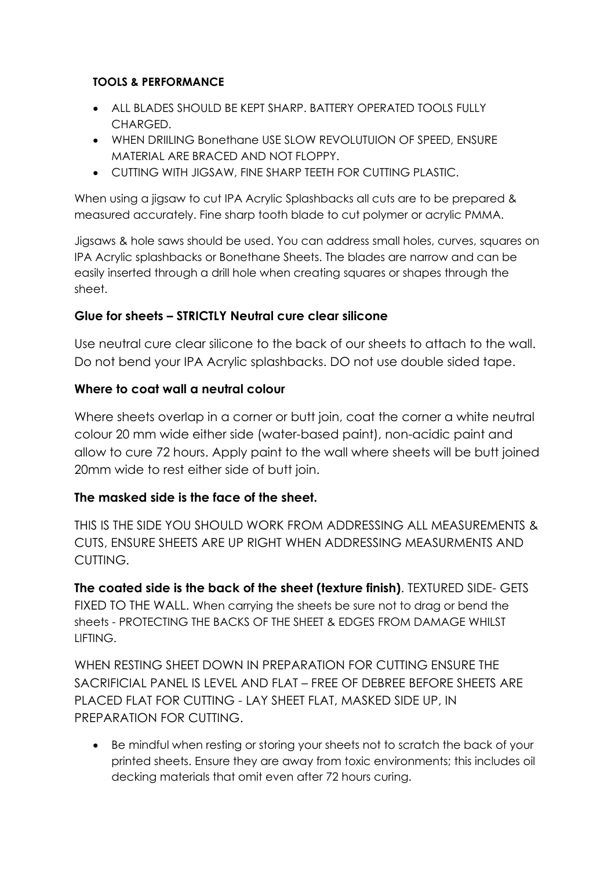# **TOOLS & PERFORMANCE**

- ALL BLADES SHOULD BE KEPT SHARP. BATTERY OPERATED TOOLS FULLY CHARGED.
- WHEN DRIILING Bonethane USE SLOW REVOLUTUION OF SPEED, ENSURE MATERIAL ARE BRACED AND NOT FLOPPY.
- CUTTING WITH JIGSAW, FINE SHARP TEETH FOR CUTTING PLASTIC.

When using a jigsaw to cut IPA Acrylic Splashbacks all cuts are to be prepared & measured accurately. Fine sharp tooth blade to cut polymer or acrylic PMMA.

Jigsaws & hole saws should be used. You can address small holes, curves, squares on IPA Acrylic splashbacks or Bonethane Sheets. The blades are narrow and can be easily inserted through a drill hole when creating squares or shapes through the sheet.

# **Glue for sheets – STRICTLY Neutral cure clear silicone**

Use neutral cure clear silicone to the back of our sheets to attach to the wall. Do not bend your IPA Acrylic splashbacks. DO not use double sided tape.

# **Where to coat wall a neutral colour**

Where sheets overlap in a corner or butt join, coat the corner a white neutral colour 20 mm wide either side (water-based paint), non-acidic paint and allow to cure 72 hours. Apply paint to the wall where sheets will be butt joined 20mm wide to rest either side of butt join.

# **The masked side is the face of the sheet.**

THIS IS THE SIDE YOU SHOULD WORK FROM ADDRESSING ALL MEASUREMENTS & CUTS, ENSURE SHEETS ARE UP RIGHT WHEN ADDRESSING MEASURMENTS AND CUTTING.

**The coated side is the back of the sheet (texture finish)**. TEXTURED SIDE- GETS FIXED TO THE WALL. When carrying the sheets be sure not to drag or bend the sheets - PROTECTING THE BACKS OF THE SHEET & EDGES FROM DAMAGE WHILST **LIFTING** 

WHEN RESTING SHEET DOWN IN PREPARATION FOR CUTTING ENSURE THE SACRIFICIAL PANEL IS LEVEL AND FLAT – FREE OF DEBREE BEFORE SHEETS ARE PLACED FLAT FOR CUTTING - LAY SHEET FLAT, MASKED SIDE UP, IN PREPARATION FOR CUTTING.

• Be mindful when resting or storing your sheets not to scratch the back of your printed sheets. Ensure they are away from toxic environments; this includes oil decking materials that omit even after 72 hours curing.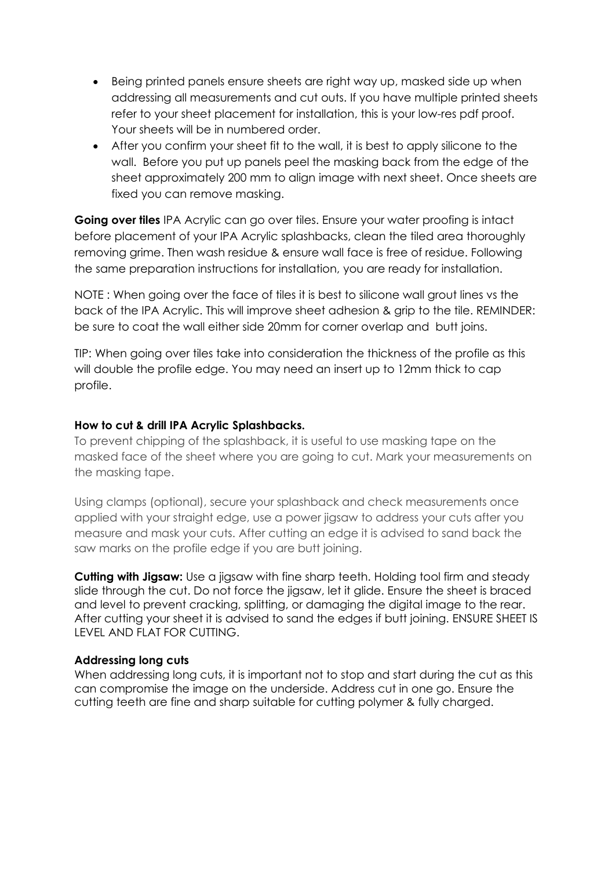- Being printed panels ensure sheets are right way up, masked side up when addressing all measurements and cut outs. If you have multiple printed sheets refer to your sheet placement for installation, this is your low-res pdf proof. Your sheets will be in numbered order.
- After you confirm your sheet fit to the wall, it is best to apply silicone to the wall. Before you put up panels peel the masking back from the edge of the sheet approximately 200 mm to align image with next sheet. Once sheets are fixed you can remove masking.

**Going over tiles** IPA Acrylic can go over tiles. Ensure your water proofing is intact before placement of your IPA Acrylic splashbacks, clean the tiled area thoroughly removing grime. Then wash residue & ensure wall face is free of residue. Following the same preparation instructions for installation, you are ready for installation.

NOTE : When going over the face of tiles it is best to silicone wall grout lines vs the back of the IPA Acrylic. This will improve sheet adhesion & grip to the tile. REMINDER: be sure to coat the wall either side 20mm for corner overlap and butt joins.

TIP: When going over tiles take into consideration the thickness of the profile as this will double the profile edge. You may need an insert up to 12mm thick to cap profile.

### **How to cut & drill IPA Acrylic Splashbacks.**

To prevent chipping of the splashback, it is useful to use masking tape on the masked face of the sheet where you are going to cut. Mark your measurements on the masking tape.

Using clamps (optional), secure your splashback and check measurements once applied with your straight edge, use a power jigsaw to address your cuts after you measure and mask your cuts. After cutting an edge it is advised to sand back the saw marks on the profile edge if you are butt joining.

**Cutting with Jigsaw:** Use a jigsaw with fine sharp teeth. Holding tool firm and steady slide through the cut. Do not force the jigsaw, let it glide. Ensure the sheet is braced and level to prevent cracking, splitting, or damaging the digital image to the rear. After cutting your sheet it is advised to sand the edges if butt joining. ENSURE SHEET IS LEVEL AND FLAT FOR CUTTING.

#### **Addressing long cuts**

When addressing long cuts, it is important not to stop and start during the cut as this can compromise the image on the underside. Address cut in one go. Ensure the cutting teeth are fine and sharp suitable for cutting polymer & fully charged.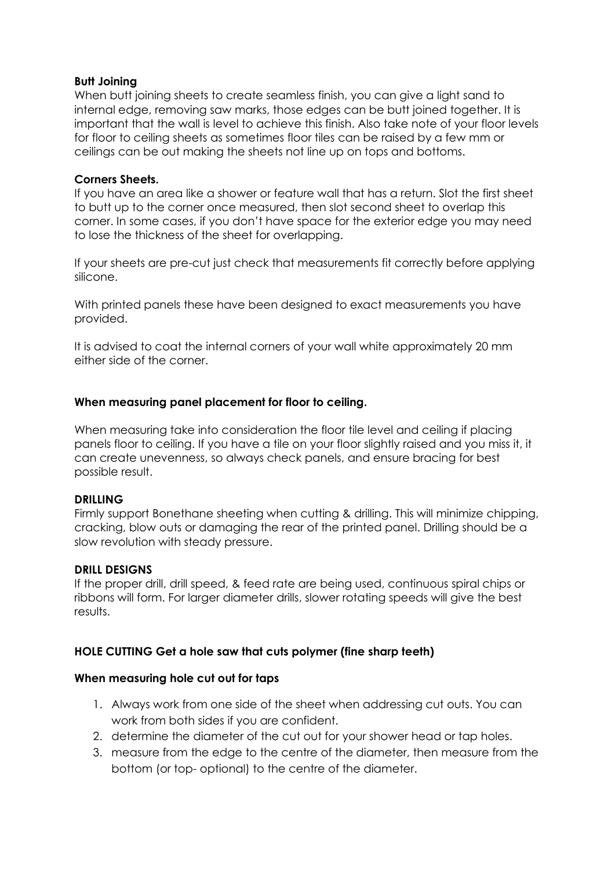#### **Butt Joining**

When butt joining sheets to create seamless finish, you can give a light sand to internal edge, removing saw marks, those edges can be butt joined together. It is important that the wall is level to achieve this finish. Also take note of your floor levels for floor to ceiling sheets as sometimes floor tiles can be raised by a few mm or ceilings can be out making the sheets not line up on tops and bottoms.

#### **Corners Sheets.**

If you have an area like a shower or feature wall that has a return. Slot the first sheet to butt up to the corner once measured, then slot second sheet to overlap this corner. In some cases, if you don't have space for the exterior edge you may need to lose the thickness of the sheet for overlapping.

If your sheets are pre-cut just check that measurements fit correctly before applying silicone.

With printed panels these have been designed to exact measurements you have provided.

It is advised to coat the internal corners of your wall white approximately 20 mm either side of the corner.

#### **When measuring panel placement for floor to ceiling.**

When measuring take into consideration the floor tile level and ceiling if placing panels floor to ceiling. If you have a tile on your floor slightly raised and you miss it, it can create unevenness, so always check panels, and ensure bracing for best possible result.

#### **DRILLING**

Firmly support Bonethane sheeting when cutting & drilling. This will minimize chipping, cracking, blow outs or damaging the rear of the printed panel. Drilling should be a slow revolution with steady pressure.

### **DRILL DESIGNS**

If the proper drill, drill speed, & feed rate are being used, continuous spiral chips or ribbons will form. For larger diameter drills, slower rotating speeds will give the best results.

### **HOLE CUTTING Get a hole saw that cuts polymer (fine sharp teeth)**

#### **When measuring hole cut out for taps**

- 1. Always work from one side of the sheet when addressing cut outs. You can work from both sides if you are confident.
- 2. determine the diameter of the cut out for your shower head or tap holes.
- 3. measure from the edge to the centre of the diameter, then measure from the bottom (or top- optional) to the centre of the diameter.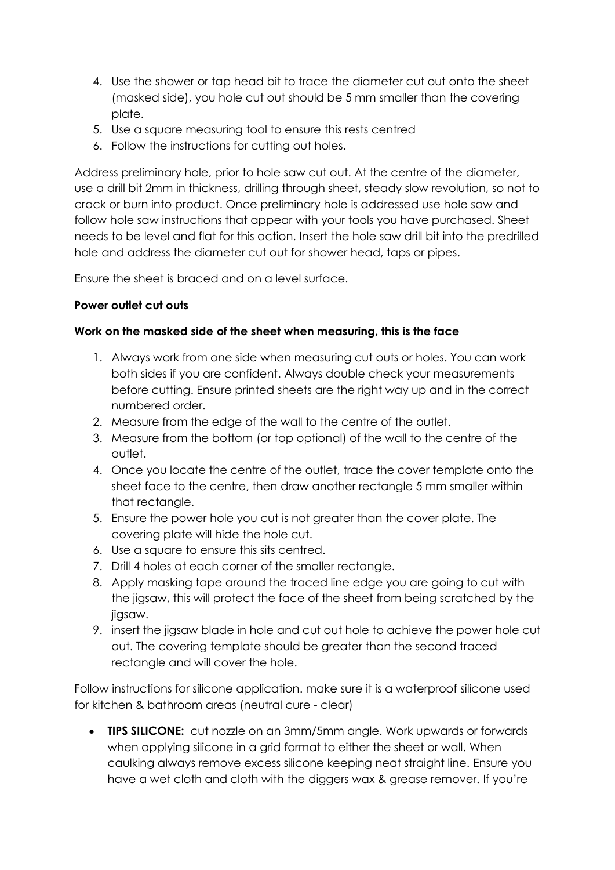- 4. Use the shower or tap head bit to trace the diameter cut out onto the sheet (masked side), you hole cut out should be 5 mm smaller than the covering plate.
- 5. Use a square measuring tool to ensure this rests centred
- 6. Follow the instructions for cutting out holes.

Address preliminary hole, prior to hole saw cut out. At the centre of the diameter, use a drill bit 2mm in thickness, drilling through sheet, steady slow revolution, so not to crack or burn into product. Once preliminary hole is addressed use hole saw and follow hole saw instructions that appear with your tools you have purchased. Sheet needs to be level and flat for this action. Insert the hole saw drill bit into the predrilled hole and address the diameter cut out for shower head, taps or pipes.

Ensure the sheet is braced and on a level surface.

## **Power outlet cut outs**

## **Work on the masked side of the sheet when measuring, this is the face**

- 1. Always work from one side when measuring cut outs or holes. You can work both sides if you are confident. Always double check your measurements before cutting. Ensure printed sheets are the right way up and in the correct numbered order.
- 2. Measure from the edge of the wall to the centre of the outlet.
- 3. Measure from the bottom (or top optional) of the wall to the centre of the outlet.
- 4. Once you locate the centre of the outlet, trace the cover template onto the sheet face to the centre, then draw another rectangle 5 mm smaller within that rectangle.
- 5. Ensure the power hole you cut is not greater than the cover plate. The covering plate will hide the hole cut.
- 6. Use a square to ensure this sits centred.
- 7. Drill 4 holes at each corner of the smaller rectangle.
- 8. Apply masking tape around the traced line edge you are going to cut with the jigsaw, this will protect the face of the sheet from being scratched by the jigsaw.
- 9. insert the jigsaw blade in hole and cut out hole to achieve the power hole cut out. The covering template should be greater than the second traced rectangle and will cover the hole.

Follow instructions for silicone application. make sure it is a waterproof silicone used for kitchen & bathroom areas (neutral cure - clear)

• **TIPS SILICONE:** cut nozzle on an 3mm/5mm angle. Work upwards or forwards when applying silicone in a grid format to either the sheet or wall. When caulking always remove excess silicone keeping neat straight line. Ensure you have a wet cloth and cloth with the diggers wax & grease remover. If you're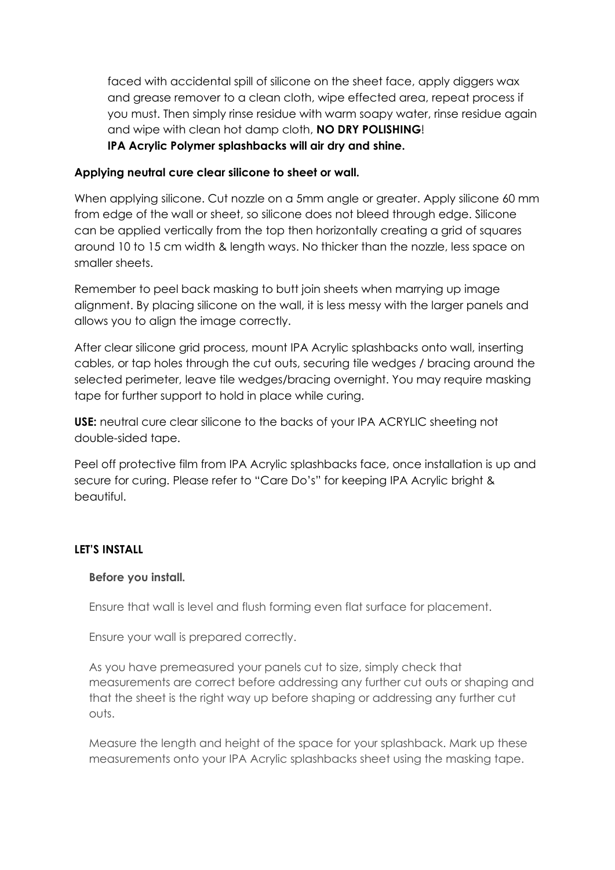faced with accidental spill of silicone on the sheet face, apply diggers wax and grease remover to a clean cloth, wipe effected area, repeat process if you must. Then simply rinse residue with warm soapy water, rinse residue again and wipe with clean hot damp cloth, **NO DRY POLISHING**! **IPA Acrylic Polymer splashbacks will air dry and shine.**

### **Applying neutral cure clear silicone to sheet or wall.**

When applying silicone. Cut nozzle on a 5mm angle or greater. Apply silicone 60 mm from edge of the wall or sheet, so silicone does not bleed through edge. Silicone can be applied vertically from the top then horizontally creating a grid of squares around 10 to 15 cm width & length ways. No thicker than the nozzle, less space on smaller sheets.

Remember to peel back masking to butt join sheets when marrying up image alignment. By placing silicone on the wall, it is less messy with the larger panels and allows you to align the image correctly.

After clear silicone grid process, mount IPA Acrylic splashbacks onto wall, inserting cables, or tap holes through the cut outs, securing tile wedges / bracing around the selected perimeter, leave tile wedges/bracing overnight. You may require masking tape for further support to hold in place while curing.

**USE:** neutral cure clear silicone to the backs of your IPA ACRYLIC sheeting not double-sided tape.

Peel off protective film from IPA Acrylic splashbacks face, once installation is up and secure for curing. Please refer to "Care Do's" for keeping IPA Acrylic bright & beautiful.

#### **LET'S INSTALL**

#### **Before you install.**

Ensure that wall is level and flush forming even flat surface for placement.

Ensure your wall is prepared correctly.

As you have premeasured your panels cut to size, simply check that measurements are correct before addressing any further cut outs or shaping and that the sheet is the right way up before shaping or addressing any further cut outs.

Measure the length and height of the space for your splashback. Mark up these measurements onto your IPA Acrylic splashbacks sheet using the masking tape.